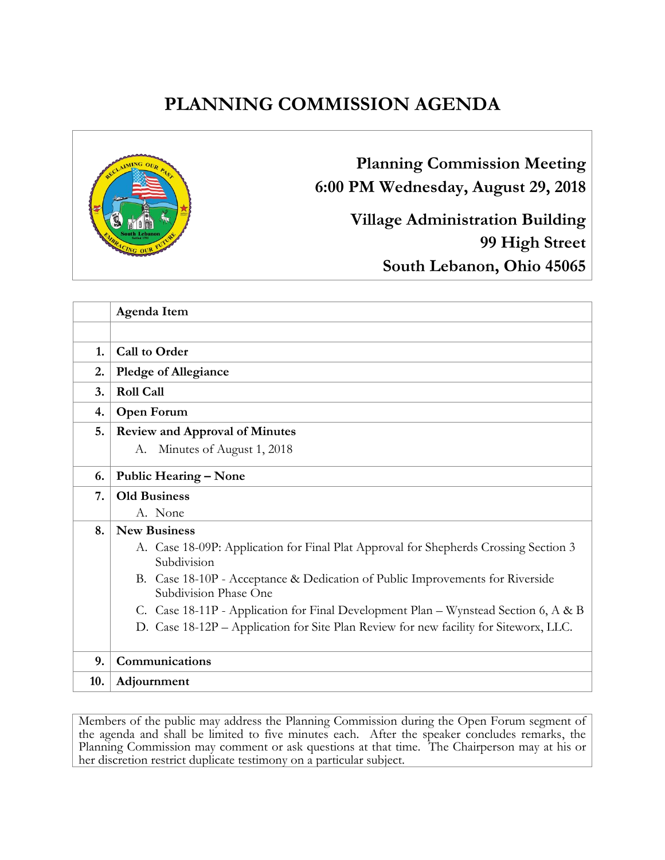# **PLANNING COMMISSION AGENDA**



**Planning Commission Meeting 6:00 PM Wednesday, August 29, 2018**

> **Village Administration Building 99 High Street South Lebanon, Ohio 45065**

|     | Agenda Item                                                                                            |  |
|-----|--------------------------------------------------------------------------------------------------------|--|
|     |                                                                                                        |  |
| 1.  | <b>Call to Order</b>                                                                                   |  |
| 2.  | <b>Pledge of Allegiance</b>                                                                            |  |
| 3.  | <b>Roll Call</b>                                                                                       |  |
| 4.  | <b>Open Forum</b>                                                                                      |  |
| 5.  | <b>Review and Approval of Minutes</b>                                                                  |  |
|     | A. Minutes of August 1, 2018                                                                           |  |
| 6.  | <b>Public Hearing – None</b>                                                                           |  |
| 7.  | <b>Old Business</b>                                                                                    |  |
|     | A. None                                                                                                |  |
| 8.  | <b>New Business</b>                                                                                    |  |
|     | A. Case 18-09P: Application for Final Plat Approval for Shepherds Crossing Section 3<br>Subdivision    |  |
|     | B. Case 18-10P - Acceptance & Dedication of Public Improvements for Riverside<br>Subdivision Phase One |  |
|     | C. Case 18-11P - Application for Final Development Plan - Wynstead Section 6, A & B                    |  |
|     | D. Case 18-12P – Application for Site Plan Review for new facility for Siteworx, LLC.                  |  |
| 9.  | Communications                                                                                         |  |
| 10. | Adjournment                                                                                            |  |

Members of the public may address the Planning Commission during the Open Forum segment of the agenda and shall be limited to five minutes each. After the speaker concludes remarks, the Planning Commission may comment or ask questions at that time. The Chairperson may at his or her discretion restrict duplicate testimony on a particular subject.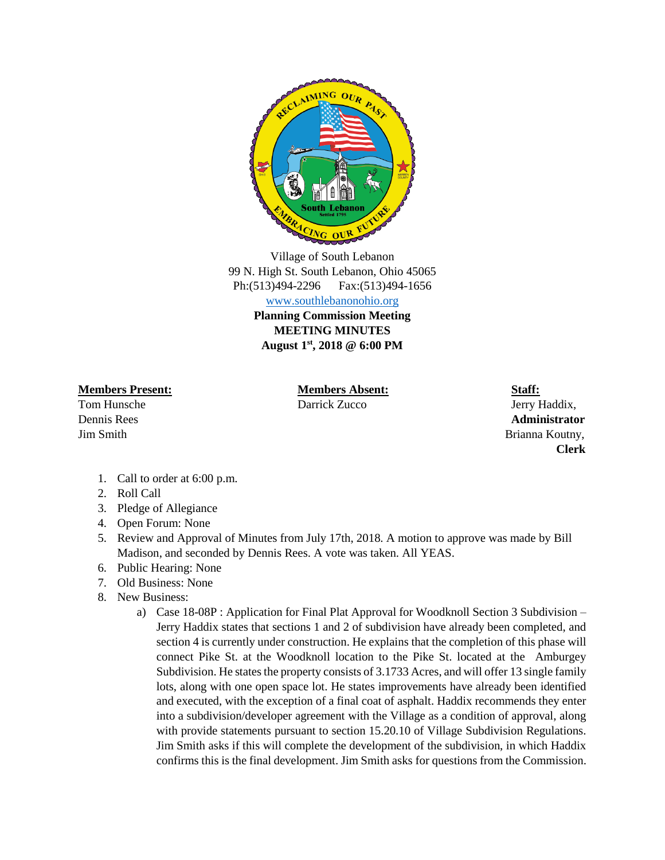

Village of South Lebanon 99 N. High St. South Lebanon, Ohio 45065 Ph:(513)494-2296 Fax:(513)494-1656 [www.southlebanonohio.org](http://www.southlebanonohio.org/)

**Planning Commission Meeting MEETING MINUTES August 1st, 2018 @ 6:00 PM** 

**Members Present: Members Absent: Staff:**

Tom Hunsche **Darrick Zucco** Darrick Zucco **Darrick Zucco** Jerry Haddix,

Dennis Rees **Administrator**  Jim Smith Brianna Koutny, **Clerk**

- 1. Call to order at 6:00 p.m.
- 2. Roll Call
- 3. Pledge of Allegiance
- 4. Open Forum: None
- 5. Review and Approval of Minutes from July 17th, 2018. A motion to approve was made by Bill Madison, and seconded by Dennis Rees. A vote was taken. All YEAS.
- 6. Public Hearing: None
- 7. Old Business: None
- 8. New Business:
	- a) Case 18-08P : Application for Final Plat Approval for Woodknoll Section 3 Subdivision Jerry Haddix states that sections 1 and 2 of subdivision have already been completed, and section 4 is currently under construction. He explains that the completion of this phase will connect Pike St. at the Woodknoll location to the Pike St. located at the Amburgey Subdivision. He states the property consists of 3.1733 Acres, and will offer 13 single family lots, along with one open space lot. He states improvements have already been identified and executed, with the exception of a final coat of asphalt. Haddix recommends they enter into a subdivision/developer agreement with the Village as a condition of approval, along with provide statements pursuant to section 15.20.10 of Village Subdivision Regulations. Jim Smith asks if this will complete the development of the subdivision, in which Haddix confirms this is the final development. Jim Smith asks for questions from the Commission.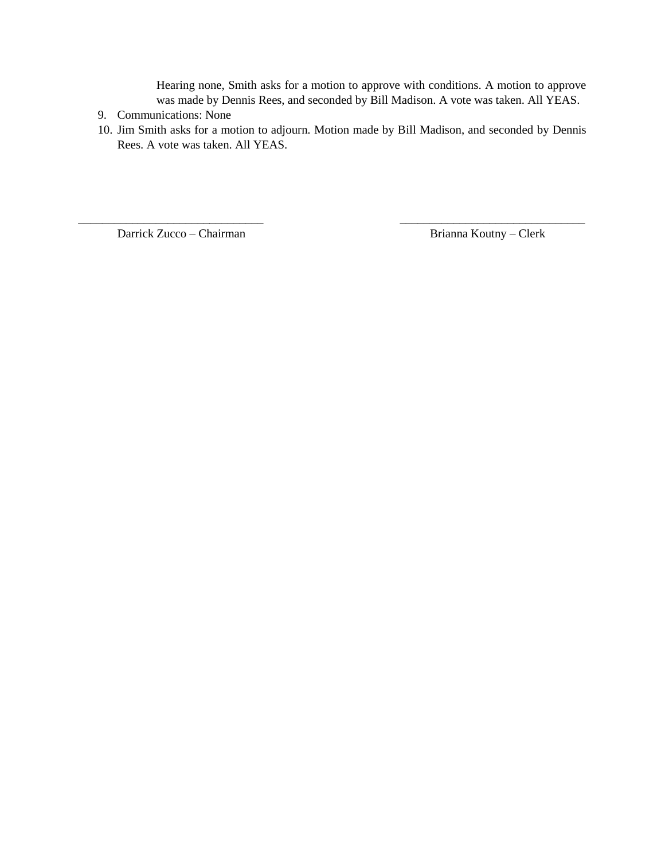Hearing none, Smith asks for a motion to approve with conditions. A motion to approve was made by Dennis Rees, and seconded by Bill Madison. A vote was taken. All YEAS.

- 9. Communications: None
- 10. Jim Smith asks for a motion to adjourn. Motion made by Bill Madison, and seconded by Dennis Rees. A vote was taken. All YEAS.

\_\_\_\_\_\_\_\_\_\_\_\_\_\_\_\_\_\_\_\_\_\_\_\_\_\_\_\_\_\_\_ \_\_\_\_\_\_\_\_\_\_\_\_\_\_\_\_\_\_\_\_\_\_\_\_\_\_\_\_\_\_\_

Darrick Zucco – Chairman Brianna Koutny – Clerk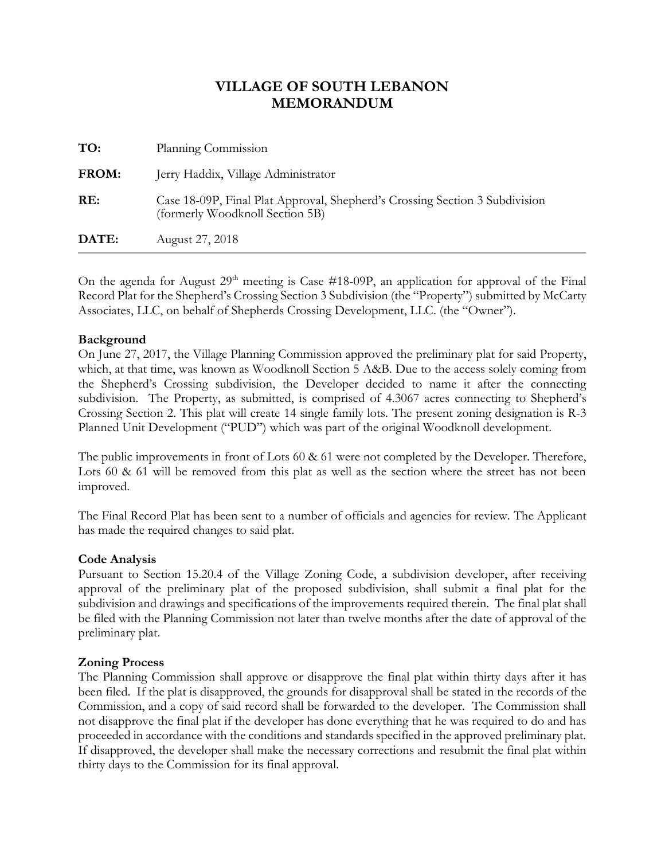| DATE:        | August 27, 2018                                                                                                |
|--------------|----------------------------------------------------------------------------------------------------------------|
| RE:          | Case 18-09P, Final Plat Approval, Shepherd's Crossing Section 3 Subdivision<br>(formerly Woodknoll Section 5B) |
| <b>FROM:</b> | Jerry Haddix, Village Administrator                                                                            |
| TO:          | Planning Commission                                                                                            |

On the agenda for August  $29<sup>th</sup>$  meeting is Case #18-09P, an application for approval of the Final Record Plat for the Shepherd's Crossing Section 3 Subdivision (the "Property") submitted by McCarty Associates, LLC, on behalf of Shepherds Crossing Development, LLC. (the "Owner").

#### **Background**

On June 27, 2017, the Village Planning Commission approved the preliminary plat for said Property, which, at that time, was known as Woodknoll Section 5 A&B. Due to the access solely coming from the Shepherd's Crossing subdivision, the Developer decided to name it after the connecting subdivision. The Property, as submitted, is comprised of 4.3067 acres connecting to Shepherd's Crossing Section 2. This plat will create 14 single family lots. The present zoning designation is R-3 Planned Unit Development ("PUD") which was part of the original Woodknoll development.

The public improvements in front of Lots 60 & 61 were not completed by the Developer. Therefore, Lots 60 & 61 will be removed from this plat as well as the section where the street has not been improved.

The Final Record Plat has been sent to a number of officials and agencies for review. The Applicant has made the required changes to said plat.

#### **Code Analysis**

Pursuant to Section 15.20.4 of the Village Zoning Code, a subdivision developer, after receiving approval of the preliminary plat of the proposed subdivision, shall submit a final plat for the subdivision and drawings and specifications of the improvements required therein. The final plat shall be filed with the Planning Commission not later than twelve months after the date of approval of the preliminary plat.

#### **Zoning Process**

The Planning Commission shall approve or disapprove the final plat within thirty days after it has been filed. If the plat is disapproved, the grounds for disapproval shall be stated in the records of the Commission, and a copy of said record shall be forwarded to the developer. The Commission shall not disapprove the final plat if the developer has done everything that he was required to do and has proceeded in accordance with the conditions and standards specified in the approved preliminary plat. If disapproved, the developer shall make the necessary corrections and resubmit the final plat within thirty days to the Commission for its final approval.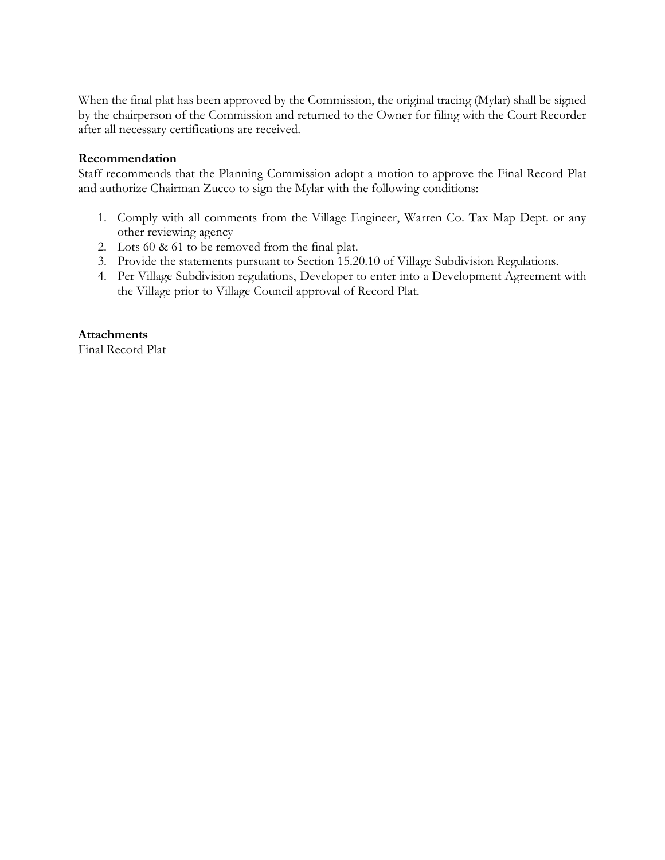When the final plat has been approved by the Commission, the original tracing (Mylar) shall be signed by the chairperson of the Commission and returned to the Owner for filing with the Court Recorder after all necessary certifications are received.

#### **Recommendation**

Staff recommends that the Planning Commission adopt a motion to approve the Final Record Plat and authorize Chairman Zucco to sign the Mylar with the following conditions:

- 1. Comply with all comments from the Village Engineer, Warren Co. Tax Map Dept. or any other reviewing agency
- 2. Lots 60 & 61 to be removed from the final plat.
- 3. Provide the statements pursuant to Section 15.20.10 of Village Subdivision Regulations.
- 4. Per Village Subdivision regulations, Developer to enter into a Development Agreement with the Village prior to Village Council approval of Record Plat.

**Attachments** Final Record Plat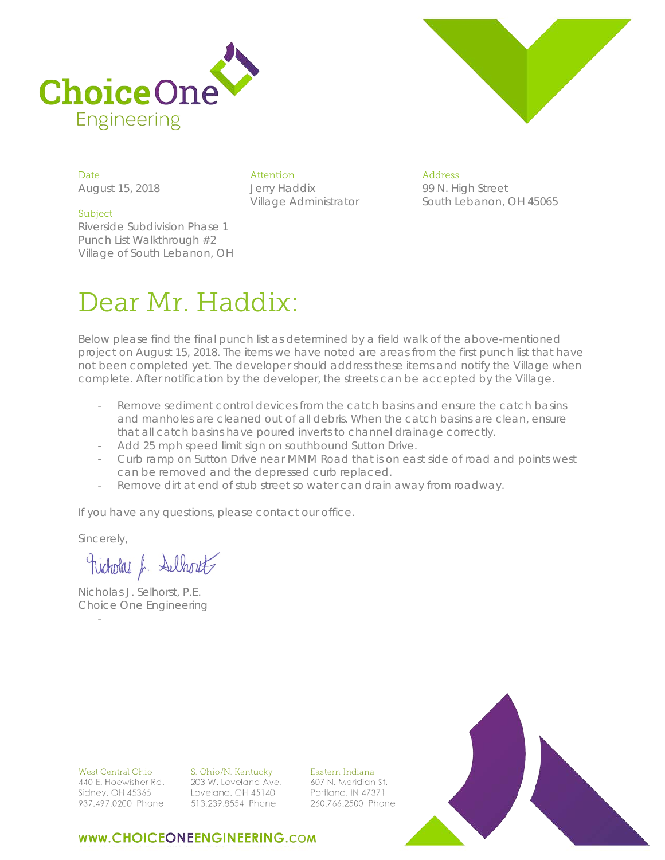



August 15, 2018 Jerry Haddix

#### Subject

Riverside Subdivision Phase 1 Punch List Walkthrough #2 Village of South Lebanon, OH

Date Attention Address Village Administrator

99 N. High Street South Lebanon, OH 45065

# Dear Mr. Haddix:

Below please find the final punch list as determined by a field walk of the above-mentioned project on August 15, 2018. The items we have noted are areas from the first punch list that have not been completed yet. The developer should address these items and notify the Village when complete. After notification by the developer, the streets can be accepted by the Village.

- Remove sediment control devices from the catch basins and ensure the catch basins and manholes are cleaned out of all debris. When the catch basins are clean, ensure that all catch basins have poured inverts to channel drainage correctly.
- Add 25 mph speed limit sign on southbound Sutton Drive.
- Curb ramp on Sutton Drive near MMM Road that is on east side of road and points west can be removed and the depressed curb replaced.
- Remove dirt at end of stub street so water can drain away from roadway.

If you have any questions, please contact our office.

Sincerely,

-

nicholas f. Selhout

Nicholas J. Selhorst, P.E. Choice One Engineering



**West Central Ohio** 440 E. Hoewisher Rd. Sidney, OH 45365 937.497.0200 Phone

S. Ohio/N. Kentucky 203 W. Loveland Ave. Loveland, OH 45140 513.239.8554 Phone

Eastern Indiana 607 N. Meridian St. Portland, IN 47371 260.766.2500 Phone

### WWW.CHOICEONEENGINEERING.COM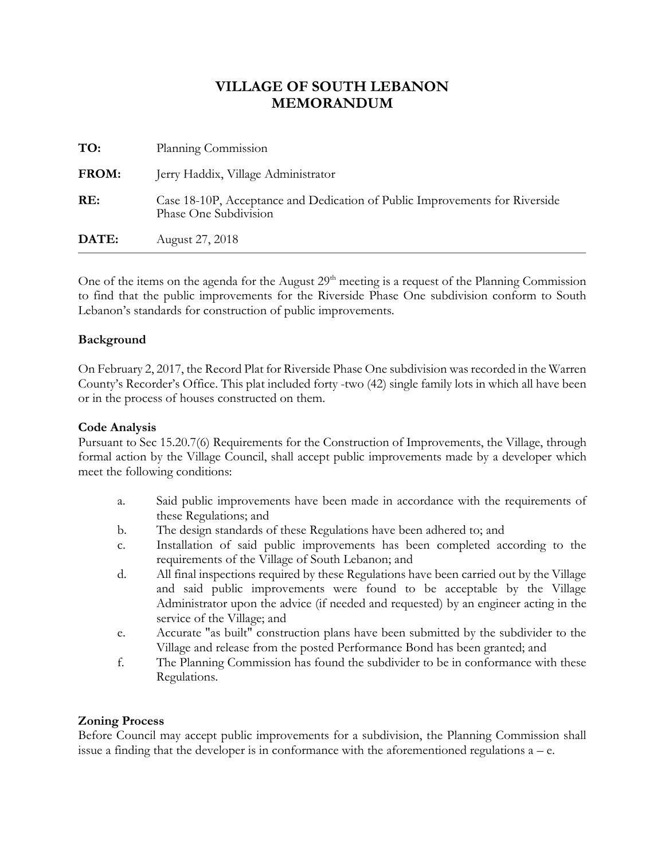| TO:          | Planning Commission                                                                                  |
|--------------|------------------------------------------------------------------------------------------------------|
| <b>FROM:</b> | Jerry Haddix, Village Administrator                                                                  |
| RE:          | Case 18-10P, Acceptance and Dedication of Public Improvements for Riverside<br>Phase One Subdivision |
| DATE:        | August 27, 2018                                                                                      |

One of the items on the agenda for the August  $29<sup>th</sup>$  meeting is a request of the Planning Commission to find that the public improvements for the Riverside Phase One subdivision conform to South Lebanon's standards for construction of public improvements.

#### **Background**

On February 2, 2017, the Record Plat for Riverside Phase One subdivision was recorded in the Warren County's Recorder's Office. This plat included forty -two (42) single family lots in which all have been or in the process of houses constructed on them.

#### **Code Analysis**

Pursuant to Sec 15.20.7(6) Requirements for the Construction of Improvements, the Village, through formal action by the Village Council, shall accept public improvements made by a developer which meet the following conditions:

- a. Said public improvements have been made in accordance with the requirements of these Regulations; and
- b. The design standards of these Regulations have been adhered to; and
- c. Installation of said public improvements has been completed according to the requirements of the Village of South Lebanon; and
- d. All final inspections required by these Regulations have been carried out by the Village and said public improvements were found to be acceptable by the Village Administrator upon the advice (if needed and requested) by an engineer acting in the service of the Village; and
- e. Accurate "as built" construction plans have been submitted by the subdivider to the Village and release from the posted Performance Bond has been granted; and
- f. The Planning Commission has found the subdivider to be in conformance with these Regulations.

#### **Zoning Process**

Before Council may accept public improvements for a subdivision, the Planning Commission shall issue a finding that the developer is in conformance with the aforementioned regulations  $a - e$ .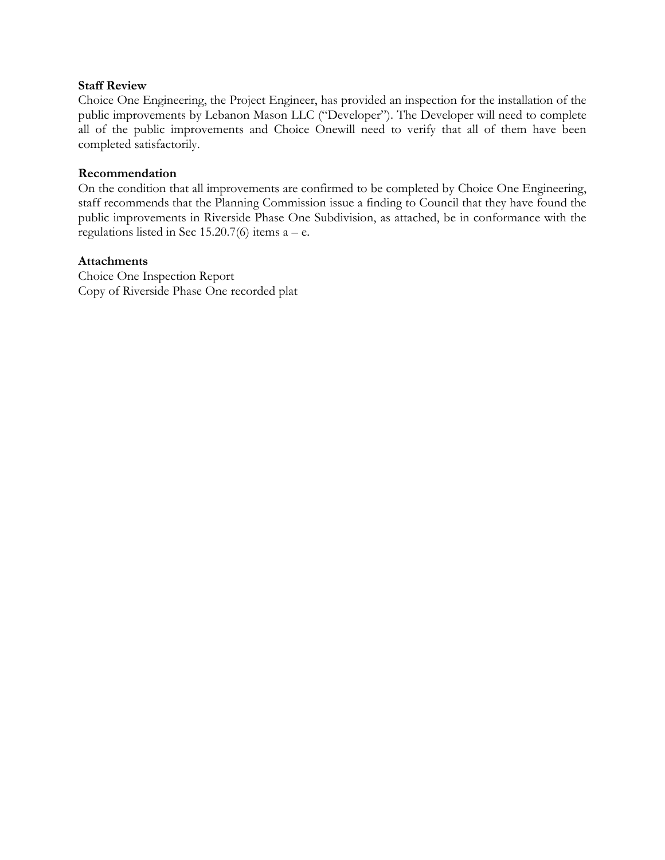#### **Staff Review**

Choice One Engineering, the Project Engineer, has provided an inspection for the installation of the public improvements by Lebanon Mason LLC ("Developer"). The Developer will need to complete all of the public improvements and Choice Onewill need to verify that all of them have been completed satisfactorily.

#### **Recommendation**

On the condition that all improvements are confirmed to be completed by Choice One Engineering, staff recommends that the Planning Commission issue a finding to Council that they have found the public improvements in Riverside Phase One Subdivision, as attached, be in conformance with the regulations listed in Sec  $15.20.7(6)$  items  $a - e$ .

#### **Attachments**

Choice One Inspection Report Copy of Riverside Phase One recorded plat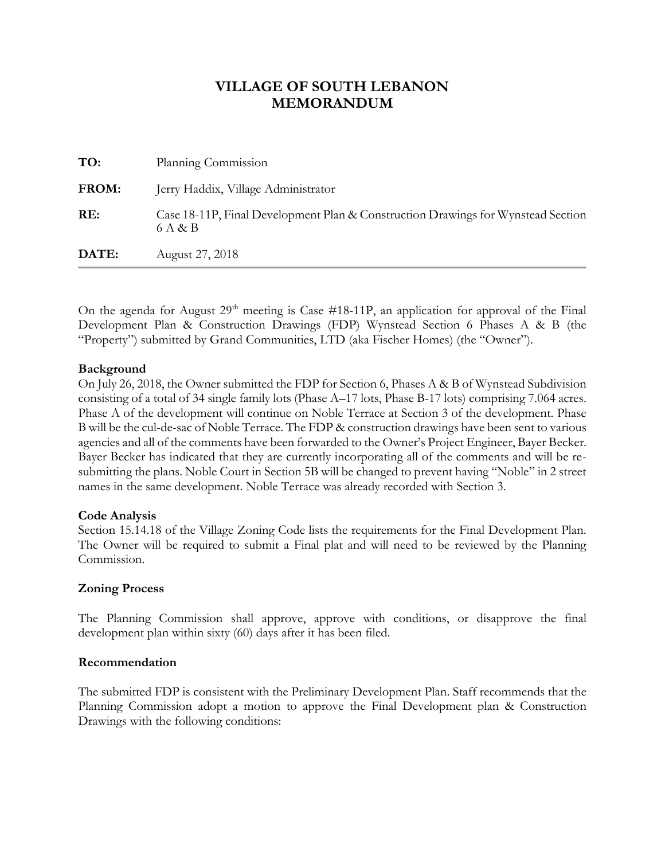| TO:   | Planning Commission                                                                         |
|-------|---------------------------------------------------------------------------------------------|
| FROM: | Jerry Haddix, Village Administrator                                                         |
| RE:   | Case 18-11P, Final Development Plan & Construction Drawings for Wynstead Section<br>6 A & B |
| DATE: | August 27, 2018                                                                             |

On the agenda for August  $29<sup>th</sup>$  meeting is Case #18-11P, an application for approval of the Final Development Plan & Construction Drawings (FDP) Wynstead Section 6 Phases A & B (the "Property") submitted by Grand Communities, LTD (aka Fischer Homes) (the "Owner").

#### **Background**

On July 26, 2018, the Owner submitted the FDP for Section 6, Phases A & B of Wynstead Subdivision consisting of a total of 34 single family lots (Phase A–17 lots, Phase B-17 lots) comprising 7.064 acres. Phase A of the development will continue on Noble Terrace at Section 3 of the development. Phase B will be the cul-de-sac of Noble Terrace. The FDP & construction drawings have been sent to various agencies and all of the comments have been forwarded to the Owner's Project Engineer, Bayer Becker. Bayer Becker has indicated that they are currently incorporating all of the comments and will be resubmitting the plans. Noble Court in Section 5B will be changed to prevent having "Noble" in 2 street names in the same development. Noble Terrace was already recorded with Section 3.

#### **Code Analysis**

Section 15.14.18 of the Village Zoning Code lists the requirements for the Final Development Plan. The Owner will be required to submit a Final plat and will need to be reviewed by the Planning Commission.

#### **Zoning Process**

The Planning Commission shall approve, approve with conditions, or disapprove the final development plan within sixty (60) days after it has been filed.

#### **Recommendation**

The submitted FDP is consistent with the Preliminary Development Plan. Staff recommends that the Planning Commission adopt a motion to approve the Final Development plan & Construction Drawings with the following conditions: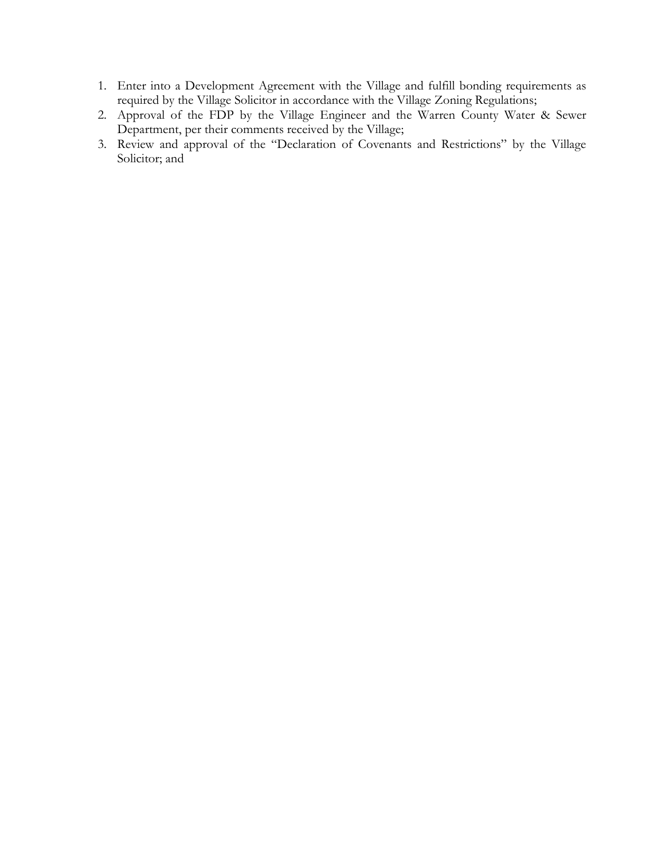- 1. Enter into a Development Agreement with the Village and fulfill bonding requirements as required by the Village Solicitor in accordance with the Village Zoning Regulations;
- 2. Approval of the FDP by the Village Engineer and the Warren County Water & Sewer Department, per their comments received by the Village;
- 3. Review and approval of the "Declaration of Covenants and Restrictions" by the Village Solicitor; and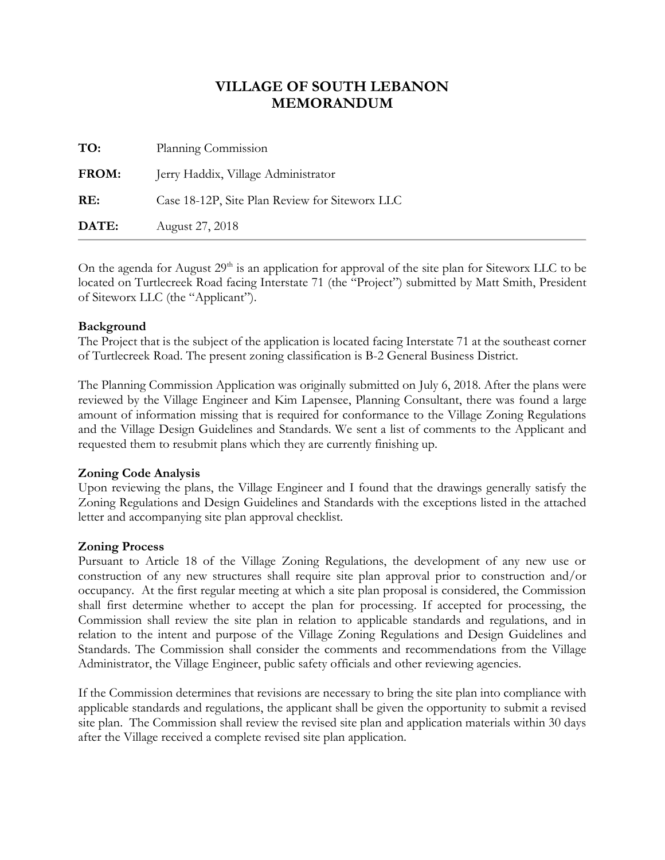| TO:          | Planning Commission                            |
|--------------|------------------------------------------------|
| <b>FROM:</b> | Jerry Haddix, Village Administrator            |
| RE:          | Case 18-12P, Site Plan Review for Siteworx LLC |
| DATE:        | August 27, 2018                                |

On the agenda for August  $29<sup>th</sup>$  is an application for approval of the site plan for Siteworx LLC to be located on Turtlecreek Road facing Interstate 71 (the "Project") submitted by Matt Smith, President of Siteworx LLC (the "Applicant").

#### **Background**

The Project that is the subject of the application is located facing Interstate 71 at the southeast corner of Turtlecreek Road. The present zoning classification is B-2 General Business District.

The Planning Commission Application was originally submitted on July 6, 2018. After the plans were reviewed by the Village Engineer and Kim Lapensee, Planning Consultant, there was found a large amount of information missing that is required for conformance to the Village Zoning Regulations and the Village Design Guidelines and Standards. We sent a list of comments to the Applicant and requested them to resubmit plans which they are currently finishing up.

#### **Zoning Code Analysis**

Upon reviewing the plans, the Village Engineer and I found that the drawings generally satisfy the Zoning Regulations and Design Guidelines and Standards with the exceptions listed in the attached letter and accompanying site plan approval checklist.

#### **Zoning Process**

Pursuant to Article 18 of the Village Zoning Regulations, the development of any new use or construction of any new structures shall require site plan approval prior to construction and/or occupancy. At the first regular meeting at which a site plan proposal is considered, the Commission shall first determine whether to accept the plan for processing. If accepted for processing, the Commission shall review the site plan in relation to applicable standards and regulations, and in relation to the intent and purpose of the Village Zoning Regulations and Design Guidelines and Standards. The Commission shall consider the comments and recommendations from the Village Administrator, the Village Engineer, public safety officials and other reviewing agencies.

If the Commission determines that revisions are necessary to bring the site plan into compliance with applicable standards and regulations, the applicant shall be given the opportunity to submit a revised site plan. The Commission shall review the revised site plan and application materials within 30 days after the Village received a complete revised site plan application.